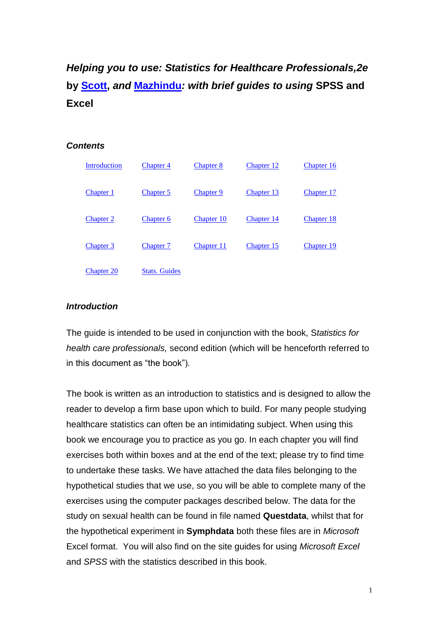# *Helping you to use: Statistics for Healthcare Professionals,2e*  **by [Scott,](http://www.hls.brookes.ac.uk/ian-scott)** *and* **[Mazhindu](http://bucks.ac.uk/whoswho/profile/deborah_mazhindu)***: with brief guides to using* **SPSS and Excel**

#### *Contents*

<span id="page-0-1"></span>

| <b>Introduction</b> | Chapter 4            | <b>Chapter 8</b> | Chapter 12        | Chapter 16 |
|---------------------|----------------------|------------------|-------------------|------------|
| <b>Chapter 1</b>    | Chapter 5            | Chapter 9        | Chapter 13        | Chapter 17 |
| <b>Chapter 2</b>    | <b>Chapter 6</b>     | Chapter 10       | <b>Chapter 14</b> | Chapter 18 |
| <b>Chapter 3</b>    | Chapter 7            | Chapter 11       | Chapter 15        | Chapter 19 |
| <b>Chapter 20</b>   | <b>Stats. Guides</b> |                  |                   |            |

#### <span id="page-0-0"></span>*Introduction*

The guide is intended to be used in conjunction with the book, S*tatistics for health care professionals,* second edition (which will be henceforth referred to in this document as "the book")*.*

The book is written as an introduction to statistics and is designed to allow the reader to develop a firm base upon which to build. For many people studying healthcare statistics can often be an intimidating subject. When using this book we encourage you to practice as you go. In each chapter you will find exercises both within boxes and at the end of the text; please try to find time to undertake these tasks. We have attached the data files belonging to the hypothetical studies that we use, so you will be able to complete many of the exercises using the computer packages described below. The data for the study on sexual health can be found in file named **Questdata**, whilst that for the hypothetical experiment in **Symphdata** both these files are in *Microsoft* Excel format. You will also find on the site guides for using *Microsoft Excel* and *SPSS* with the statistics described in this book.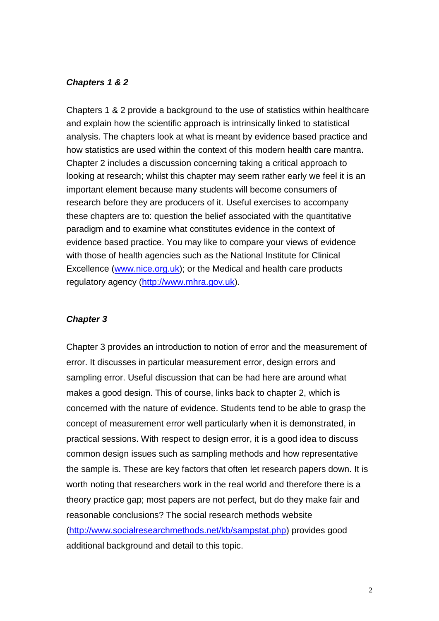#### <span id="page-1-0"></span>*Chapters 1 & 2*

Chapters 1 & 2 provide a background to the use of statistics within healthcare and explain how the scientific approach is intrinsically linked to statistical analysis. The chapters look at what is meant by evidence based practice and how statistics are used within the context of this modern health care mantra. Chapter 2 includes a discussion concerning taking a critical approach to looking at research; whilst this chapter may seem rather early we feel it is an important element because many students will become consumers of research before they are producers of it. Useful exercises to accompany these chapters are to: question the belief associated with the quantitative paradigm and to examine what constitutes evidence in the context of evidence based practice. You may like to compare your views of evidence with those of health agencies such as the National Institute for Clinical Excellence [\(www.nice.org.uk\)](file:///C:/Users/greenhill/Documents/From%20Worcester/Ian); or the Medical and health care products regulatory agency [\(http://www.mhra.gov.uk\)](http://www.mhra.gov.uk/).

#### <span id="page-1-1"></span>*Chapter 3*

Chapter 3 provides an introduction to notion of error and the measurement of error. It discusses in particular measurement error, design errors and sampling error. Useful discussion that can be had here are around what makes a good design. This of course, links back to chapter 2, which is concerned with the nature of evidence. Students tend to be able to grasp the concept of measurement error well particularly when it is demonstrated, in practical sessions. With respect to design error, it is a good idea to discuss common design issues such as sampling methods and how representative the sample is. These are key factors that often let research papers down. It is worth noting that researchers work in the real world and therefore there is a theory practice gap; most papers are not perfect, but do they make fair and reasonable conclusions? The social research methods website [\(http://www.socialresearchmethods.net/kb/sampstat.php\)](http://www.socialresearchmethods.net/kb/sampstat.php) provides good additional background and detail to this topic.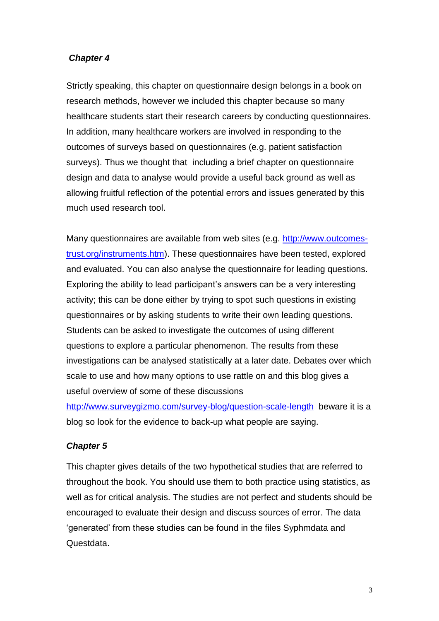## <span id="page-2-0"></span>*Chapter 4*

Strictly speaking, this chapter on questionnaire design belongs in a book on research methods, however we included this chapter because so many healthcare students start their research careers by conducting questionnaires. In addition, many healthcare workers are involved in responding to the outcomes of surveys based on questionnaires (e.g. patient satisfaction surveys). Thus we thought that including a brief chapter on questionnaire design and data to analyse would provide a useful back ground as well as allowing fruitful reflection of the potential errors and issues generated by this much used research tool.

Many questionnaires are available from web sites (e.g. [http://www.outcomes](http://www.outcomes-trust.org/instruments.htm)[trust.org/instruments.htm\)](http://www.outcomes-trust.org/instruments.htm). These questionnaires have been tested, explored and evaluated. You can also analyse the questionnaire for leading questions. Exploring the ability to lead participant's answers can be a very interesting activity; this can be done either by trying to spot such questions in existing questionnaires or by asking students to write their own leading questions. Students can be asked to investigate the outcomes of using different questions to explore a particular phenomenon. The results from these investigations can be analysed statistically at a later date. Debates over which scale to use and how many options to use rattle on and this blog gives a useful overview of some of these discussions

<http://www.surveygizmo.com/survey-blog/question-scale-length>beware it is a blog so look for the evidence to back-up what people are saying.

#### <span id="page-2-1"></span>*Chapter 5*

This chapter gives details of the two hypothetical studies that are referred to throughout the book. You should use them to both practice using statistics, as well as for critical analysis. The studies are not perfect and students should be encouraged to evaluate their design and discuss sources of error. The data 'generated' from these studies can be found in the files Syphmdata and Questdata.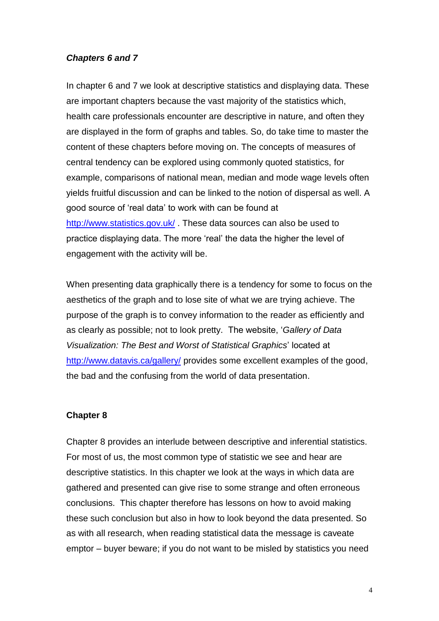### <span id="page-3-1"></span>*Chapters 6 and 7*

In chapter 6 and 7 we look at descriptive statistics and displaying data. These are important chapters because the vast majority of the statistics which, health care professionals encounter are descriptive in nature, and often they are displayed in the form of graphs and tables. So, do take time to master the content of these chapters before moving on. The concepts of measures of central tendency can be explored using commonly quoted statistics, for example, comparisons of national mean, median and mode wage levels often yields fruitful discussion and can be linked to the notion of dispersal as well. A good source of 'real data' to work with can be found at <http://www.statistics.gov.uk/>. These data sources can also be used to practice displaying data. The more 'real' the data the higher the level of engagement with the activity will be.

When presenting data graphically there is a tendency for some to focus on the aesthetics of the graph and to lose site of what we are trying achieve. The purpose of the graph is to convey information to the reader as efficiently and as clearly as possible; not to look pretty. The website, '*Gallery of Data Visualization: The Best and Worst of Statistical Graphics*' located at <http://www.datavis.ca/gallery/> provides some excellent examples of the good, the bad and the confusing from the world of data presentation.

#### <span id="page-3-0"></span>**Chapter 8**

Chapter 8 provides an interlude between descriptive and inferential statistics. For most of us, the most common type of statistic we see and hear are descriptive statistics. In this chapter we look at the ways in which data are gathered and presented can give rise to some strange and often erroneous conclusions. This chapter therefore has lessons on how to avoid making these such conclusion but also in how to look beyond the data presented. So as with all research, when reading statistical data the message is caveate emptor – buyer beware; if you do not want to be misled by statistics you need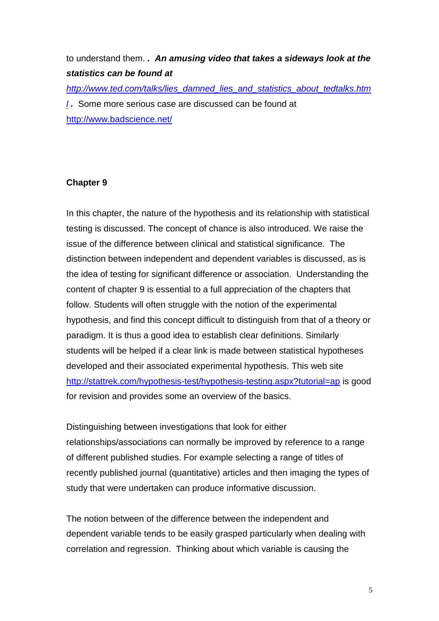## to understand them. *. An amusing video that takes a sideways look at the statistics can be found at*

*[http://www.ted.com/talks/lies\\_damned\\_lies\\_and\\_statistics\\_about\\_tedtalks.htm](http://www.ted.com/talks/lies_damned_lies_and_statistics_about_tedtalks.html) [l](http://www.ted.com/talks/lies_damned_lies_and_statistics_about_tedtalks.html) .* Some more serious case are discussed can be found at <http://www.badscience.net/>

## **Chapter 9**

In this chapter, the nature of the hypothesis and its relationship with statistical testing is discussed. The concept of chance is also introduced. We raise the issue of the difference between clinical and statistical significance. The distinction between independent and dependent variables is discussed, as is the idea of testing for significant difference or association. Understanding the content of chapter 9 is essential to a full appreciation of the chapters that follow. Students will often struggle with the notion of the experimental hypothesis, and find this concept difficult to distinguish from that of a theory or paradigm. It is thus a good idea to establish clear definitions. Similarly students will be helped if a clear link is made between statistical hypotheses developed and their associated experimental hypothesis. This web site <http://stattrek.com/hypothesis-test/hypothesis-testing.aspx?tutorial=ap> is good for revision and provides some an overview of the basics.

Distinguishing between investigations that look for either relationships/associations can normally be improved by reference to a range of different published studies. For example selecting a range of titles of recently published journal (quantitative) articles and then imaging the types of study that were undertaken can produce informative discussion.

The notion between of the difference between the independent and dependent variable tends to be easily grasped particularly when dealing with correlation and regression. Thinking about which variable is causing the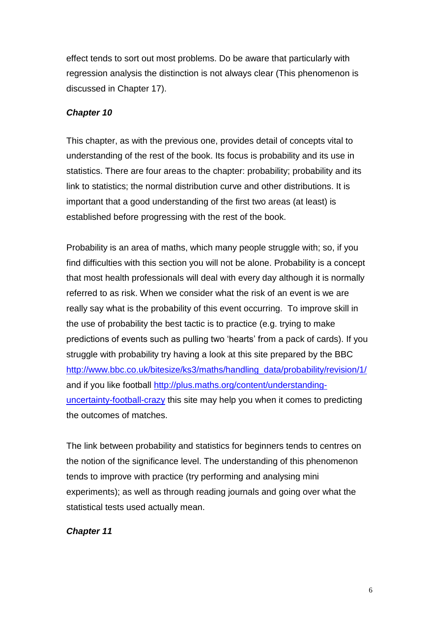effect tends to sort out most problems. Do be aware that particularly with regression analysis the distinction is not always clear (This phenomenon is discussed in Chapter 17).

#### <span id="page-5-0"></span>*Chapter 10*

This chapter, as with the previous one, provides detail of concepts vital to understanding of the rest of the book. Its focus is probability and its use in statistics. There are four areas to the chapter: probability; probability and its link to statistics; the normal distribution curve and other distributions. It is important that a good understanding of the first two areas (at least) is established before progressing with the rest of the book.

Probability is an area of maths, which many people struggle with; so, if you find difficulties with this section you will not be alone. Probability is a concept that most health professionals will deal with every day although it is normally referred to as risk. When we consider what the risk of an event is we are really say what is the probability of this event occurring. To improve skill in the use of probability the best tactic is to practice (e.g. trying to make predictions of events such as pulling two 'hearts' from a pack of cards). If you struggle with probability try having a look at this site prepared by the BBC [http://www.bbc.co.uk/bitesize/ks3/maths/handling\\_data/probability/revision/1/](http://www.bbc.co.uk/bitesize/ks3/maths/handling_data/probability/revision/1/) and if you like football [http://plus.maths.org/content/understanding](http://plus.maths.org/content/understanding-uncertainty-football-crazy)[uncertainty-football-crazy](http://plus.maths.org/content/understanding-uncertainty-football-crazy) this site may help you when it comes to predicting the outcomes of matches.

The link between probability and statistics for beginners tends to centres on the notion of the significance level. The understanding of this phenomenon tends to improve with practice (try performing and analysing mini experiments); as well as through reading journals and going over what the statistical tests used actually mean.

#### <span id="page-5-1"></span>*Chapter 11*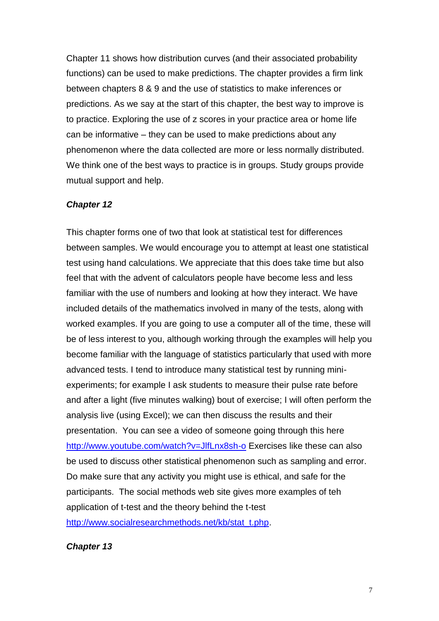Chapter 11 shows how distribution curves (and their associated probability functions) can be used to make predictions. The chapter provides a firm link between chapters 8 & 9 and the use of statistics to make inferences or predictions. As we say at the start of this chapter, the best way to improve is to practice. Exploring the use of z scores in your practice area or home life can be informative – they can be used to make predictions about any phenomenon where the data collected are more or less normally distributed. We think one of the best ways to practice is in groups. Study groups provide mutual support and help.

#### <span id="page-6-1"></span>*Chapter 12*

This chapter forms one of two that look at statistical test for differences between samples. We would encourage you to attempt at least one statistical test using hand calculations. We appreciate that this does take time but also feel that with the advent of calculators people have become less and less familiar with the use of numbers and looking at how they interact. We have included details of the mathematics involved in many of the tests, along with worked examples. If you are going to use a computer all of the time, these will be of less interest to you, although working through the examples will help you become familiar with the language of statistics particularly that used with more advanced tests. I tend to introduce many statistical test by running miniexperiments; for example I ask students to measure their pulse rate before and after a light (five minutes walking) bout of exercise; I will often perform the analysis live (using Excel); we can then discuss the results and their presentation. You can see a video of someone going through this here <http://www.youtube.com/watch?v=JlfLnx8sh-o> Exercises like these can also be used to discuss other statistical phenomenon such as sampling and error. Do make sure that any activity you might use is ethical, and safe for the participants. The social methods web site gives more examples of teh application of t-test and the theory behind the t-test [http://www.socialresearchmethods.net/kb/stat\\_t.php.](http://www.socialresearchmethods.net/kb/stat_t.php)

<span id="page-6-0"></span>*Chapter 13*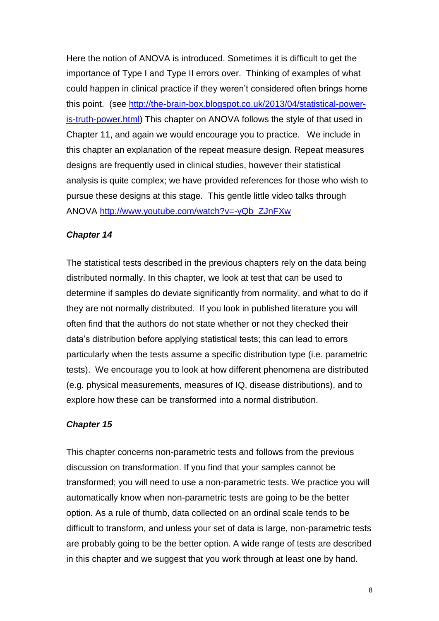Here the notion of ANOVA is introduced. Sometimes it is difficult to get the importance of Type I and Type II errors over. Thinking of examples of what could happen in clinical practice if they weren't considered often brings home this point. (see [http://the-brain-box.blogspot.co.uk/2013/04/statistical-power](http://the-brain-box.blogspot.co.uk/2013/04/statistical-power-is-truth-power.html)[is-truth-power.html\)](http://the-brain-box.blogspot.co.uk/2013/04/statistical-power-is-truth-power.html) This chapter on ANOVA follows the style of that used in Chapter 11, and again we would encourage you to practice. We include in this chapter an explanation of the repeat measure design. Repeat measures designs are frequently used in clinical studies, however their statistical analysis is quite complex; we have provided references for those who wish to pursue these designs at this stage. This gentle little video talks through ANOVA [http://www.youtube.com/watch?v=-yQb\\_ZJnFXw](http://www.youtube.com/watch?v=-yQb_ZJnFXw)

## <span id="page-7-0"></span>*Chapter 14*

The statistical tests described in the previous chapters rely on the data being distributed normally. In this chapter, we look at test that can be used to determine if samples do deviate significantly from normality, and what to do if they are not normally distributed. If you look in published literature you will often find that the authors do not state whether or not they checked their data's distribution before applying statistical tests; this can lead to errors particularly when the tests assume a specific distribution type (i.e. parametric tests). We encourage you to look at how different phenomena are distributed (e.g. physical measurements, measures of IQ, disease distributions), and to explore how these can be transformed into a normal distribution.

## <span id="page-7-1"></span>*Chapter 15*

This chapter concerns non-parametric tests and follows from the previous discussion on transformation. If you find that your samples cannot be transformed; you will need to use a non-parametric tests. We practice you will automatically know when non-parametric tests are going to be the better option. As a rule of thumb, data collected on an ordinal scale tends to be difficult to transform, and unless your set of data is large, non-parametric tests are probably going to be the better option. A wide range of tests are described in this chapter and we suggest that you work through at least one by hand.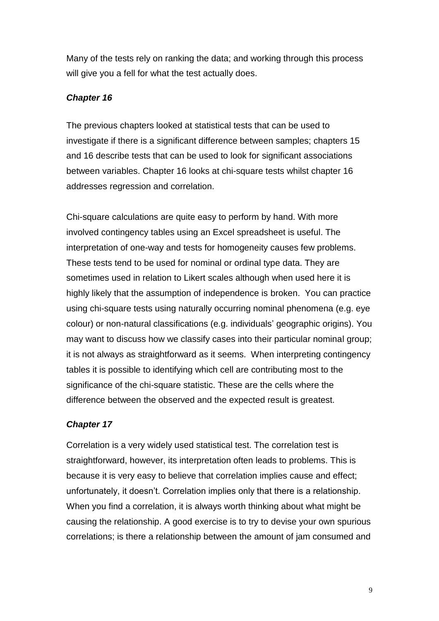Many of the tests rely on ranking the data; and working through this process will give you a fell for what the test actually does.

## *Chapter 16*

The previous chapters looked at statistical tests that can be used to investigate if there is a significant difference between samples; chapters 15 and 16 describe tests that can be used to look for significant associations between variables. Chapter 16 looks at chi-square tests whilst chapter 16 addresses regression and correlation.

Chi-square calculations are quite easy to perform by hand. With more involved contingency tables using an Excel spreadsheet is useful. The interpretation of one-way and tests for homogeneity causes few problems. These tests tend to be used for nominal or ordinal type data. They are sometimes used in relation to Likert scales although when used here it is highly likely that the assumption of independence is broken. You can practice using chi-square tests using naturally occurring nominal phenomena (e.g. eye colour) or non-natural classifications (e.g. individuals' geographic origins). You may want to discuss how we classify cases into their particular nominal group; it is not always as straightforward as it seems. When interpreting contingency tables it is possible to identifying which cell are contributing most to the significance of the chi-square statistic. These are the cells where the difference between the observed and the expected result is greatest.

## <span id="page-8-0"></span>*Chapter 17*

Correlation is a very widely used statistical test. The correlation test is straightforward, however, its interpretation often leads to problems. This is because it is very easy to believe that correlation implies cause and effect; unfortunately, it doesn't. Correlation implies only that there is a relationship. When you find a correlation, it is always worth thinking about what might be causing the relationship. A good exercise is to try to devise your own spurious correlations; is there a relationship between the amount of jam consumed and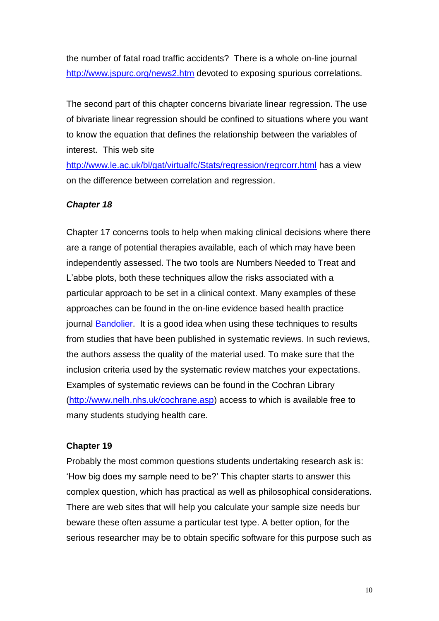the number of fatal road traffic accidents? There is a whole on-line journal <http://www.jspurc.org/news2.htm> devoted to exposing spurious correlations.

The second part of this chapter concerns bivariate linear regression. The use of bivariate linear regression should be confined to situations where you want to know the equation that defines the relationship between the variables of interest. This web site

<http://www.le.ac.uk/bl/gat/virtualfc/Stats/regression/regrcorr.html> has a view on the difference between correlation and regression.

#### <span id="page-9-0"></span>*Chapter 18*

Chapter 17 concerns tools to help when making clinical decisions where there are a range of potential therapies available, each of which may have been independently assessed. The two tools are Numbers Needed to Treat and L'abbe plots, both these techniques allow the risks associated with a particular approach to be set in a clinical context. Many examples of these approaches can be found in the on-line evidence based health practice journal **Bandolier**. It is a good idea when using these techniques to results from studies that have been published in systematic reviews. In such reviews, the authors assess the quality of the material used. To make sure that the inclusion criteria used by the systematic review matches your expectations. Examples of systematic reviews can be found in the Cochran Library [\(http://www.nelh.nhs.uk/cochrane.asp\)](http://www.nelh.nhs.uk/cochrane.asp) access to which is available free to many students studying health care.

#### <span id="page-9-1"></span>**Chapter 19**

Probably the most common questions students undertaking research ask is: 'How big does my sample need to be?' This chapter starts to answer this complex question, which has practical as well as philosophical considerations. There are web sites that will help you calculate your sample size needs bur beware these often assume a particular test type. A better option, for the serious researcher may be to obtain specific software for this purpose such as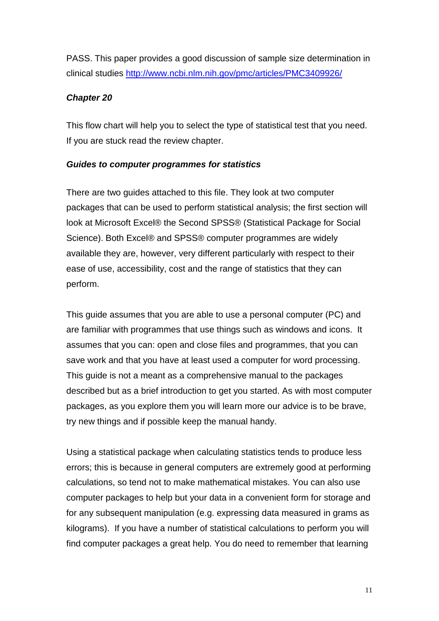PASS. This paper provides a good discussion of sample size determination in clinical studies<http://www.ncbi.nlm.nih.gov/pmc/articles/PMC3409926/>

## <span id="page-10-0"></span>*Chapter 20*

This flow chart will help you to select the type of statistical test that you need. If you are stuck read the review chapter.

## <span id="page-10-1"></span>*Guides to computer programmes for statistics*

There are two guides attached to this file. They look at two computer packages that can be used to perform statistical analysis; the first section will look at Microsoft Excel® the Second SPSS® (Statistical Package for Social Science). Both Excel® and SPSS® computer programmes are widely available they are, however, very different particularly with respect to their ease of use, accessibility, cost and the range of statistics that they can perform.

This guide assumes that you are able to use a personal computer (PC) and are familiar with programmes that use things such as windows and icons. It assumes that you can: open and close files and programmes, that you can save work and that you have at least used a computer for word processing. This guide is not a meant as a comprehensive manual to the packages described but as a brief introduction to get you started. As with most computer packages, as you explore them you will learn more our advice is to be brave, try new things and if possible keep the manual handy.

Using a statistical package when calculating statistics tends to produce less errors; this is because in general computers are extremely good at performing calculations, so tend not to make mathematical mistakes. You can also use computer packages to help but your data in a convenient form for storage and for any subsequent manipulation (e.g. expressing data measured in grams as kilograms). If you have a number of statistical calculations to perform you will find computer packages a great help. You do need to remember that learning